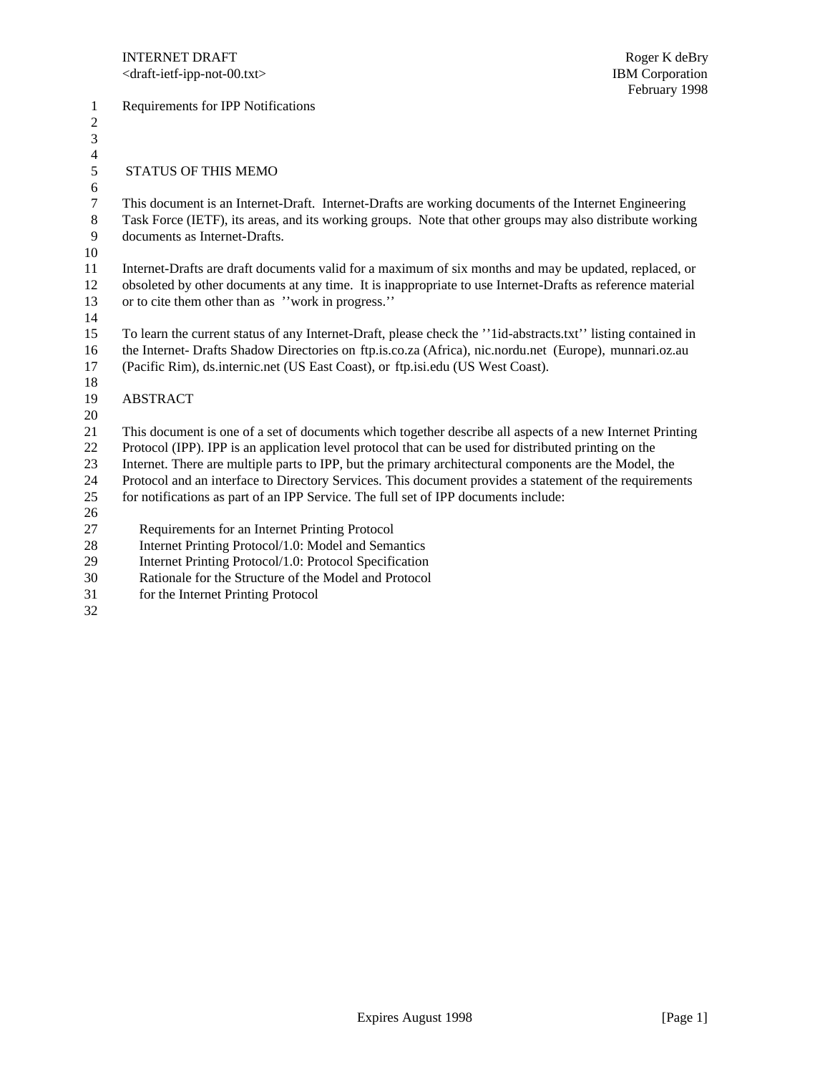Requirements for IPP Notifications

5 STATUS OF THIS MEMO

 This document is an Internet-Draft. Internet-Drafts are working documents of the Internet Engineering Task Force (IETF), its areas, and its working groups. Note that other groups may also distribute working documents as Internet-Drafts.

 Internet-Drafts are draft documents valid for a maximum of six months and may be updated, replaced, or obsoleted by other documents at any time. It is inappropriate to use Internet-Drafts as reference material or to cite them other than as ''work in progress.''

 

 To learn the current status of any Internet-Draft, please check the ''1id-abstracts.txt'' listing contained in the Internet- Drafts Shadow Directories on ftp.is.co.za (Africa), nic.nordu.net (Europe), munnari.oz.au (Pacific Rim), ds.internic.net (US East Coast), or ftp.isi.edu (US West Coast).

- ABSTRACT
- 

This document is one of a set of documents which together describe all aspects of a new Internet Printing

Protocol (IPP). IPP is an application level protocol that can be used for distributed printing on the

Internet. There are multiple parts to IPP, but the primary architectural components are the Model, the

 Protocol and an interface to Directory Services. This document provides a statement of the requirements for notifications as part of an IPP Service. The full set of IPP documents include:

27 Requirements for an Internet Printing Protocol

28 Internet Printing Protocol/1.0: Model and Semantics

29 Internet Printing Protocol/1.0: Protocol Specification

- 30 Rationale for the Structure of the Model and Protocol
- 31 for the Internet Printing Protocol
-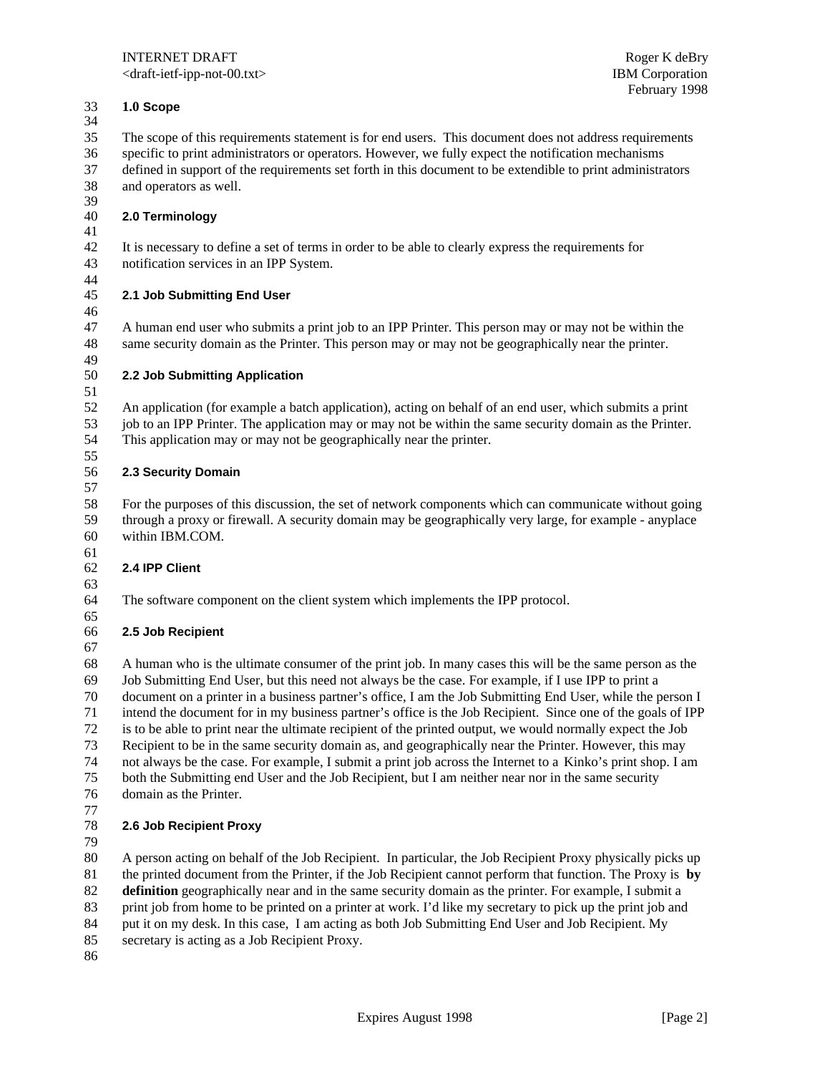## **1.0 Scope**

 The scope of this requirements statement is for end users. This document does not address requirements specific to print administrators or operators. However, we fully expect the notification mechanisms defined in support of the requirements set forth in this document to be extendible to print administrators and operators as well.

### **2.0 Terminology**

 It is necessary to define a set of terms in order to be able to clearly express the requirements for notification services in an IPP System.

### **2.1 Job Submitting End User**

 A human end user who submits a print job to an IPP Printer. This person may or may not be within the same security domain as the Printer. This person may or may not be geographically near the printer.

### 49<br>50 **2.2 Job Submitting Application**

 An application (for example a batch application), acting on behalf of an end user, which submits a print job to an IPP Printer. The application may or may not be within the same security domain as the Printer. This application may or may not be geographically near the printer.

### **2.3 Security Domain**

 For the purposes of this discussion, the set of network components which can communicate without going through a proxy or firewall. A security domain may be geographically very large, for example - anyplace within IBM.COM.

### **2.4 IPP Client**

The software component on the client system which implements the IPP protocol.

### **2.5 Job Recipient**

 A human who is the ultimate consumer of the print job. In many cases this will be the same person as the Job Submitting End User, but this need not always be the case. For example, if I use IPP to print a document on a printer in a business partner's office, I am the Job Submitting End User, while the person I intend the document for in my business partner's office is the Job Recipient. Since one of the goals of IPP is to be able to print near the ultimate recipient of the printed output, we would normally expect the Job Recipient to be in the same security domain as, and geographically near the Printer. However, this may not always be the case. For example, I submit a print job across the Internet to a Kinko's print shop. I am both the Submitting end User and the Job Recipient, but I am neither near nor in the same security domain as the Printer.

## **2.6 Job Recipient Proxy**

 A person acting on behalf of the Job Recipient. In particular, the Job Recipient Proxy physically picks up the printed document from the Printer, if the Job Recipient cannot perform that function. The Proxy is **by definition** geographically near and in the same security domain as the printer. For example, I submit a print job from home to be printed on a printer at work. I'd like my secretary to pick up the print job and 84 put it on my desk. In this case, I am acting as both Job Submitting End User and Job Recipient. My secretary is acting as a Job Recipient Proxy.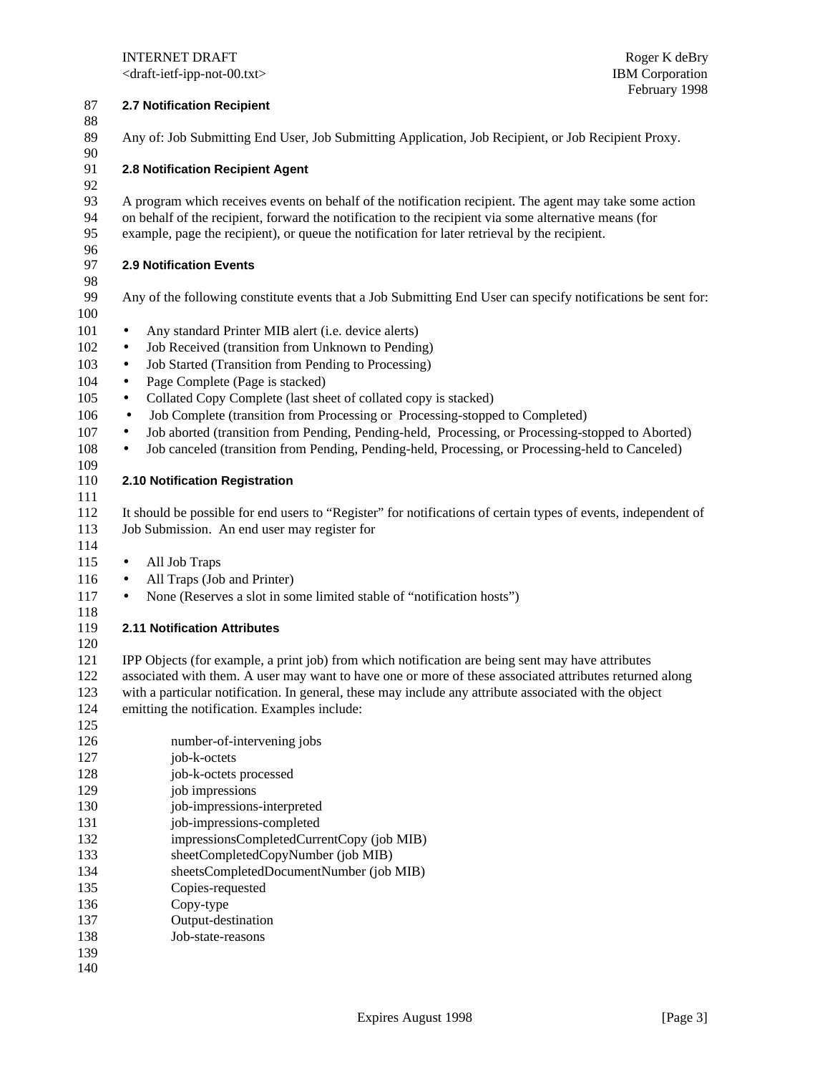# INTERNET DRAFT

 $\langle$ draft-ietf-ipp-not-00.txt $>$ 

| 87<br>88                        | 2.7 Notification Recipient                                                                                                                                                                                                                                                                                                                                                                                                                                   |
|---------------------------------|--------------------------------------------------------------------------------------------------------------------------------------------------------------------------------------------------------------------------------------------------------------------------------------------------------------------------------------------------------------------------------------------------------------------------------------------------------------|
| 89<br>90                        | Any of: Job Submitting End User, Job Submitting Application, Job Recipient, or Job Recipient Proxy.                                                                                                                                                                                                                                                                                                                                                          |
| 91<br>92                        | 2.8 Notification Recipient Agent                                                                                                                                                                                                                                                                                                                                                                                                                             |
| 93<br>94<br>95                  | A program which receives events on behalf of the notification recipient. The agent may take some action<br>on behalf of the recipient, forward the notification to the recipient via some alternative means (for<br>example, page the recipient), or queue the notification for later retrieval by the recipient.                                                                                                                                            |
| 96<br>97<br>98                  | <b>2.9 Notification Events</b>                                                                                                                                                                                                                                                                                                                                                                                                                               |
| 99<br>100                       | Any of the following constitute events that a Job Submitting End User can specify notifications be sent for:                                                                                                                                                                                                                                                                                                                                                 |
| 101<br>102<br>103               | Any standard Printer MIB alert (i.e. device alerts)<br>$\bullet$<br>Job Received (transition from Unknown to Pending)<br>$\bullet$<br>Job Started (Transition from Pending to Processing)<br>$\bullet$                                                                                                                                                                                                                                                       |
| 104<br>105<br>106<br>107<br>108 | Page Complete (Page is stacked)<br>$\bullet$<br>Collated Copy Complete (last sheet of collated copy is stacked)<br>$\bullet$<br>Job Complete (transition from Processing or Processing-stopped to Completed)<br>$\bullet$<br>Job aborted (transition from Pending, Pending-held, Processing, or Processing-stopped to Aborted)<br>$\bullet$<br>Job canceled (transition from Pending, Pending-held, Processing, or Processing-held to Canceled)<br>$\bullet$ |
| 109<br>110                      | 2.10 Notification Registration                                                                                                                                                                                                                                                                                                                                                                                                                               |
| 111<br>112<br>113<br>114        | It should be possible for end users to "Register" for notifications of certain types of events, independent of<br>Job Submission. An end user may register for                                                                                                                                                                                                                                                                                               |
| 115<br>116                      | All Job Traps<br>$\bullet$<br>All Traps (Job and Printer)<br>$\bullet$                                                                                                                                                                                                                                                                                                                                                                                       |
| 117                             | None (Reserves a slot in some limited stable of "notification hosts")<br>$\bullet$                                                                                                                                                                                                                                                                                                                                                                           |
| 118<br>119<br>120               | 2.11 Notification Attributes                                                                                                                                                                                                                                                                                                                                                                                                                                 |
| 121<br>122<br>123<br>124<br>125 | IPP Objects (for example, a print job) from which notification are being sent may have attributes<br>associated with them. A user may want to have one or more of these associated attributes returned along<br>with a particular notification. In general, these may include any attribute associated with the object<br>emitting the notification. Examples include:                                                                                       |
| 126<br>127                      | number-of-intervening jobs<br>job-k-octets                                                                                                                                                                                                                                                                                                                                                                                                                   |
| 128<br>129<br>130               | job-k-octets processed<br>job impressions<br>job-impressions-interpreted                                                                                                                                                                                                                                                                                                                                                                                     |
| 131<br>132<br>133               | job-impressions-completed<br>impressionsCompletedCurrentCopy (job MIB)<br>sheetCompletedCopyNumber (job MIB)                                                                                                                                                                                                                                                                                                                                                 |
| 134<br>135                      | sheetsCompletedDocumentNumber (job MIB)<br>Copies-requested                                                                                                                                                                                                                                                                                                                                                                                                  |
| 136<br>137<br>138               | Copy-type<br>Output-destination<br>Job-state-reasons                                                                                                                                                                                                                                                                                                                                                                                                         |
| 139                             |                                                                                                                                                                                                                                                                                                                                                                                                                                                              |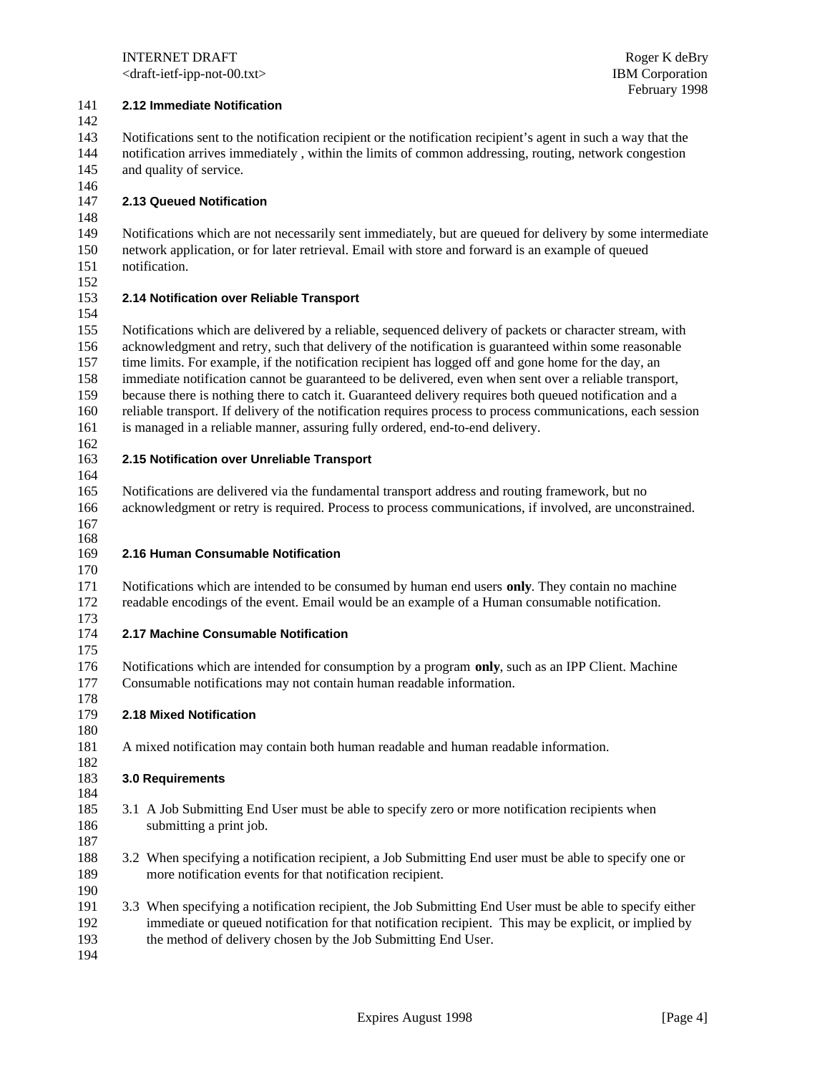INTERNET DRAFT NEWSLET AND THE ROGER K deBry <draft-ietf-ipp-not-00.txt> IBM Corporation

### **2.12 Immediate Notification**

 Notifications sent to the notification recipient or the notification recipient's agent in such a way that the notification arrives immediately , within the limits of common addressing, routing, network congestion and quality of service.

- **2.13 Queued Notification**
- 

 Notifications which are not necessarily sent immediately, but are queued for delivery by some intermediate network application, or for later retrieval. Email with store and forward is an example of queued notification.

152<br>153

## **2.14 Notification over Reliable Transport**

 Notifications which are delivered by a reliable, sequenced delivery of packets or character stream, with acknowledgment and retry, such that delivery of the notification is guaranteed within some reasonable time limits. For example, if the notification recipient has logged off and gone home for the day, an immediate notification cannot be guaranteed to be delivered, even when sent over a reliable transport, because there is nothing there to catch it. Guaranteed delivery requires both queued notification and a reliable transport. If delivery of the notification requires process to process communications, each session is managed in a reliable manner, assuring fully ordered, end-to-end delivery. 

## **2.15 Notification over Unreliable Transport**

 Notifications are delivered via the fundamental transport address and routing framework, but no acknowledgment or retry is required. Process to process communications, if involved, are unconstrained. 

# **2.16 Human Consumable Notification**

 Notifications which are intended to be consumed by human end users **only**. They contain no machine readable encodings of the event. Email would be an example of a Human consumable notification.

# **2.17 Machine Consumable Notification**

 Notifications which are intended for consumption by a program **only**, such as an IPP Client. Machine Consumable notifications may not contain human readable information.

# **2.18 Mixed Notification**

A mixed notification may contain both human readable and human readable information.

## **3.0 Requirements**

- 3.1 A Job Submitting End User must be able to specify zero or more notification recipients when submitting a print job.
- 3.2 When specifying a notification recipient, a Job Submitting End user must be able to specify one or more notification events for that notification recipient.
- 3.3 When specifying a notification recipient, the Job Submitting End User must be able to specify either immediate or queued notification for that notification recipient. This may be explicit, or implied by the method of delivery chosen by the Job Submitting End User.
-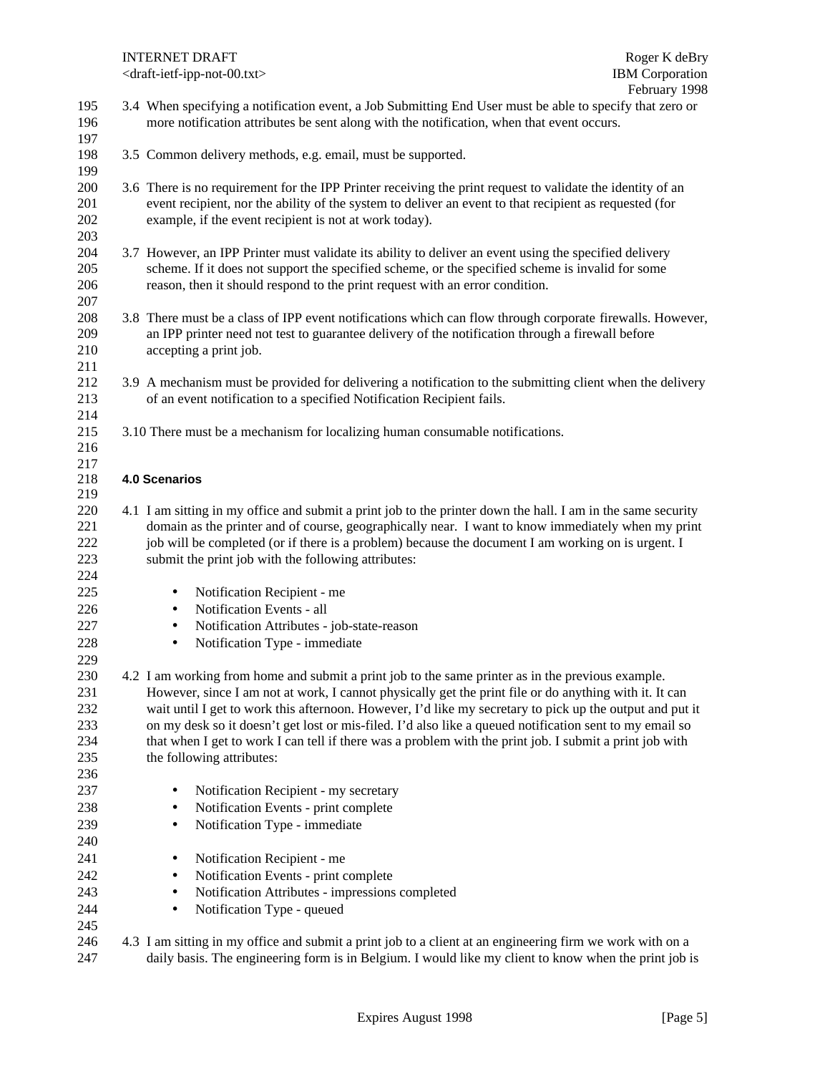INTERNET DRAFT Roger K deBry

| 195<br>196<br>197               | 3.4 When specifying a notification event, a Job Submitting End User must be able to specify that zero or<br>more notification attributes be sent along with the notification, when that event occurs.                                                                                                                                                                           |
|---------------------------------|---------------------------------------------------------------------------------------------------------------------------------------------------------------------------------------------------------------------------------------------------------------------------------------------------------------------------------------------------------------------------------|
| 198<br>199                      | 3.5 Common delivery methods, e.g. email, must be supported.                                                                                                                                                                                                                                                                                                                     |
| 200<br>201<br>202<br>203        | 3.6 There is no requirement for the IPP Printer receiving the print request to validate the identity of an<br>event recipient, nor the ability of the system to deliver an event to that recipient as requested (for<br>example, if the event recipient is not at work today).                                                                                                  |
| 204<br>205<br>206<br>207        | 3.7 However, an IPP Printer must validate its ability to deliver an event using the specified delivery<br>scheme. If it does not support the specified scheme, or the specified scheme is invalid for some<br>reason, then it should respond to the print request with an error condition.                                                                                      |
| 208<br>209<br>210<br>211        | 3.8 There must be a class of IPP event notifications which can flow through corporate firewalls. However,<br>an IPP printer need not test to guarantee delivery of the notification through a firewall before<br>accepting a print job.                                                                                                                                         |
| 212<br>213<br>214               | 3.9 A mechanism must be provided for delivering a notification to the submitting client when the delivery<br>of an event notification to a specified Notification Recipient fails.                                                                                                                                                                                              |
| 215<br>216<br>217               | 3.10 There must be a mechanism for localizing human consumable notifications.                                                                                                                                                                                                                                                                                                   |
| 218<br>219                      | <b>4.0 Scenarios</b>                                                                                                                                                                                                                                                                                                                                                            |
| 220<br>221<br>222<br>223<br>224 | 4.1 I am sitting in my office and submit a print job to the printer down the hall. I am in the same security<br>domain as the printer and of course, geographically near. I want to know immediately when my print<br>job will be completed (or if there is a problem) because the document I am working on is urgent. I<br>submit the print job with the following attributes: |
| 225                             | Notification Recipient - me<br>$\bullet$                                                                                                                                                                                                                                                                                                                                        |
| 226                             | Notification Events - all<br>$\bullet$                                                                                                                                                                                                                                                                                                                                          |
| 227                             | Notification Attributes - job-state-reason<br>$\bullet$                                                                                                                                                                                                                                                                                                                         |
| 228<br>229                      | Notification Type - immediate<br>$\bullet$                                                                                                                                                                                                                                                                                                                                      |
| 230                             | 4.2 I am working from home and submit a print job to the same printer as in the previous example.                                                                                                                                                                                                                                                                               |
| 231                             | However, since I am not at work, I cannot physically get the print file or do anything with it. It can                                                                                                                                                                                                                                                                          |
| 232                             | wait until I get to work this afternoon. However, I'd like my secretary to pick up the output and put it                                                                                                                                                                                                                                                                        |
| 233                             | on my desk so it doesn't get lost or mis-filed. I'd also like a queued notification sent to my email so                                                                                                                                                                                                                                                                         |
| 234                             | that when I get to work I can tell if there was a problem with the print job. I submit a print job with                                                                                                                                                                                                                                                                         |
| 235                             | the following attributes:                                                                                                                                                                                                                                                                                                                                                       |
| 236                             |                                                                                                                                                                                                                                                                                                                                                                                 |
| 237                             | Notification Recipient - my secretary<br>$\bullet$                                                                                                                                                                                                                                                                                                                              |
| 238                             | Notification Events - print complete<br>$\bullet$                                                                                                                                                                                                                                                                                                                               |
| 239<br>240                      | Notification Type - immediate                                                                                                                                                                                                                                                                                                                                                   |
| 241                             | Notification Recipient - me                                                                                                                                                                                                                                                                                                                                                     |
| 242                             | Notification Events - print complete                                                                                                                                                                                                                                                                                                                                            |
| 243                             | Notification Attributes - impressions completed<br>٠                                                                                                                                                                                                                                                                                                                            |
| 244                             | Notification Type - queued<br>$\bullet$                                                                                                                                                                                                                                                                                                                                         |
| 245                             |                                                                                                                                                                                                                                                                                                                                                                                 |
| 246                             | 4.3 I am sitting in my office and submit a print job to a client at an engineering firm we work with on a                                                                                                                                                                                                                                                                       |

daily basis. The engineering form is in Belgium. I would like my client to know when the print job is